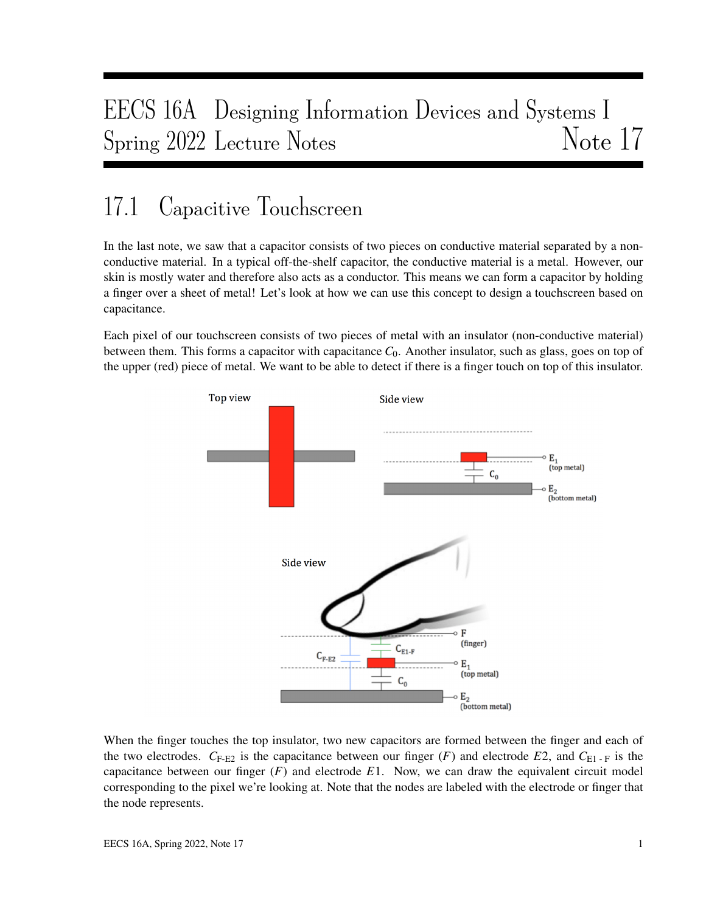# EECS 16A Designing Information Devices and Systems I Spring 2022 Lecture Notes Note 17

# 17.1 Capacitive Touchscreen

In the last note, we saw that a capacitor consists of two pieces on conductive material separated by a nonconductive material. In a typical off-the-shelf capacitor, the conductive material is a metal. However, our skin is mostly water and therefore also acts as a conductor. This means we can form a capacitor by holding a finger over a sheet of metal! Let's look at how we can use this concept to design a touchscreen based on capacitance.

Each pixel of our touchscreen consists of two pieces of metal with an insulator (non-conductive material) between them. This forms a capacitor with capacitance  $C_0$ . Another insulator, such as glass, goes on top of the upper (red) piece of metal. We want to be able to detect if there is a finger touch on top of this insulator.



When the finger touches the top insulator, two new capacitors are formed between the finger and each of the two electrodes.  $C_{\text{F-E2}}$  is the capacitance between our finger (*F*) and electrode *E*2, and  $C_{\text{E1-F}}$  is the capacitance between our finger (*F*) and electrode *E*1. Now, we can draw the equivalent circuit model corresponding to the pixel we're looking at. Note that the nodes are labeled with the electrode or finger that the node represents.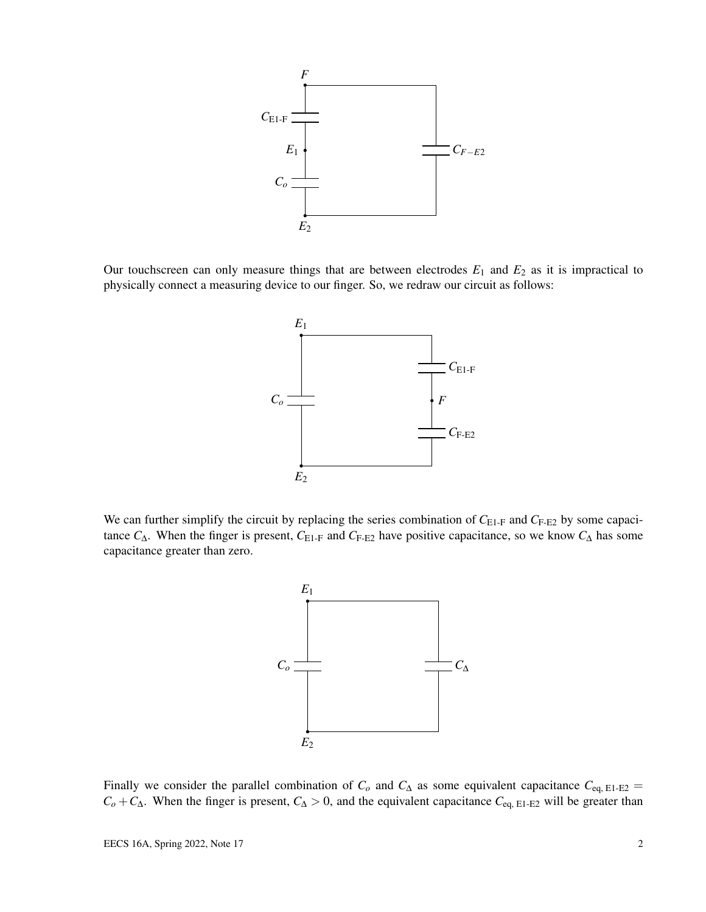

Our touchscreen can only measure things that are between electrodes  $E_1$  and  $E_2$  as it is impractical to physically connect a measuring device to our finger. So, we redraw our circuit as follows:



We can further simplify the circuit by replacing the series combination of  $C_{E1-F}$  and  $C_{F-E2}$  by some capacitance  $C_{\Delta}$ . When the finger is present,  $C_{E1-F}$  and  $C_{F-E2}$  have positive capacitance, so we know  $C_{\Delta}$  has some capacitance greater than zero.



Finally we consider the parallel combination of  $C$ <sup>*o*</sup> and  $C$ <sup> $\Delta$ </sup> as some equivalent capacitance  $C$ <sub>eq, E1-E2</sub> =  $C_0 + C_\Delta$ . When the finger is present,  $C_\Delta > 0$ , and the equivalent capacitance  $C_{eq, E1-E2}$  will be greater than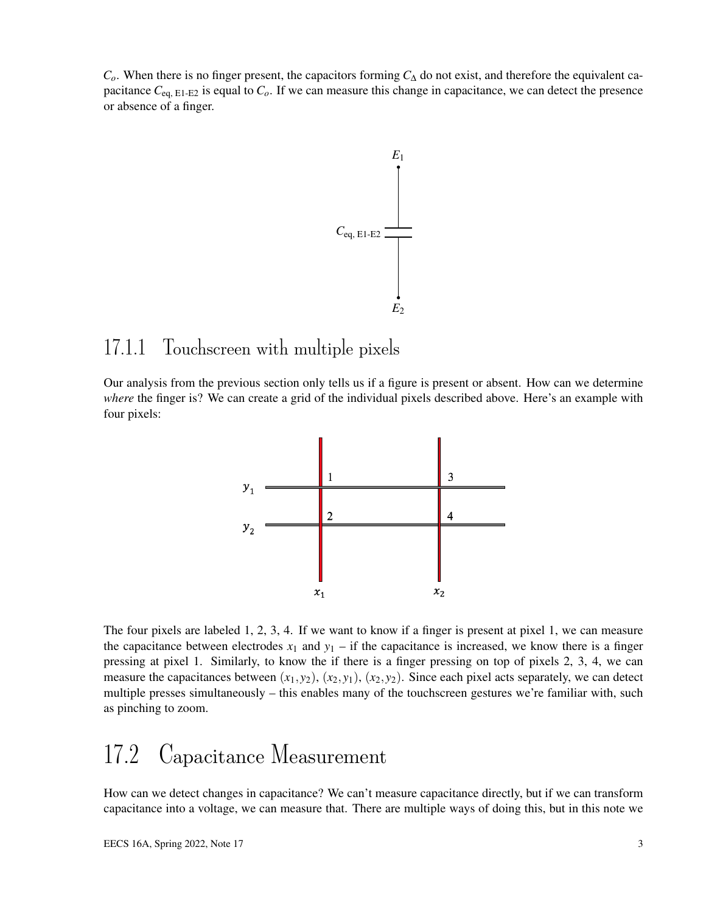*Co*. When there is no finger present, the capacitors forming *C*<sup>∆</sup> do not exist, and therefore the equivalent capacitance  $C_{eq, E1-E2}$  is equal to  $C_o$ . If we can measure this change in capacitance, we can detect the presence or absence of a finger.



## 17.1.1 Touchscreen with multiple pixels

Our analysis from the previous section only tells us if a figure is present or absent. How can we determine *where* the finger is? We can create a grid of the individual pixels described above. Here's an example with four pixels:



The four pixels are labeled 1, 2, 3, 4. If we want to know if a finger is present at pixel 1, we can measure the capacitance between electrodes  $x_1$  and  $y_1$  – if the capacitance is increased, we know there is a finger pressing at pixel 1. Similarly, to know the if there is a finger pressing on top of pixels 2, 3, 4, we can measure the capacitances between  $(x_1, y_2)$ ,  $(x_2, y_1)$ ,  $(x_2, y_2)$ . Since each pixel acts separately, we can detect multiple presses simultaneously – this enables many of the touchscreen gestures we're familiar with, such as pinching to zoom.

## 17.2 Capacitance Measurement

How can we detect changes in capacitance? We can't measure capacitance directly, but if we can transform capacitance into a voltage, we can measure that. There are multiple ways of doing this, but in this note we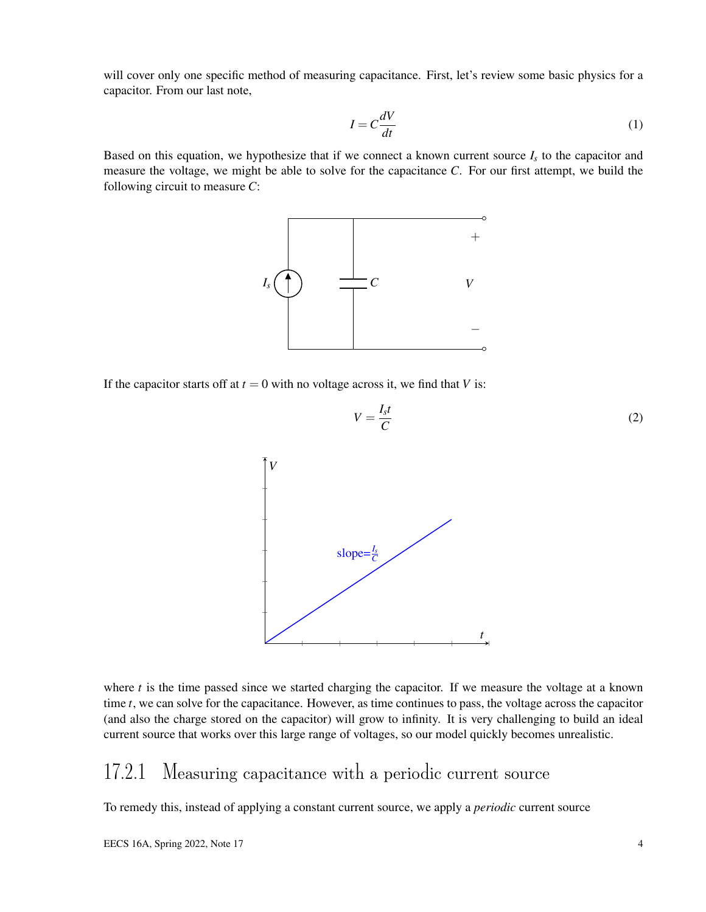will cover only one specific method of measuring capacitance. First, let's review some basic physics for a capacitor. From our last note,

$$
I = C \frac{dV}{dt} \tag{1}
$$

Based on this equation, we hypothesize that if we connect a known current source  $I_s$  to the capacitor and measure the voltage, we might be able to solve for the capacitance *C*. For our first attempt, we build the following circuit to measure *C*:



If the capacitor starts off at  $t = 0$  with no voltage across it, we find that *V* is:



where  $t$  is the time passed since we started charging the capacitor. If we measure the voltage at a known time *t*, we can solve for the capacitance. However, as time continues to pass, the voltage across the capacitor (and also the charge stored on the capacitor) will grow to infinity. It is very challenging to build an ideal current source that works over this large range of voltages, so our model quickly becomes unrealistic.

#### 17.2.1 Measuring capacitance with a periodic current source

To remedy this, instead of applying a constant current source, we apply a *periodic* current source

(2)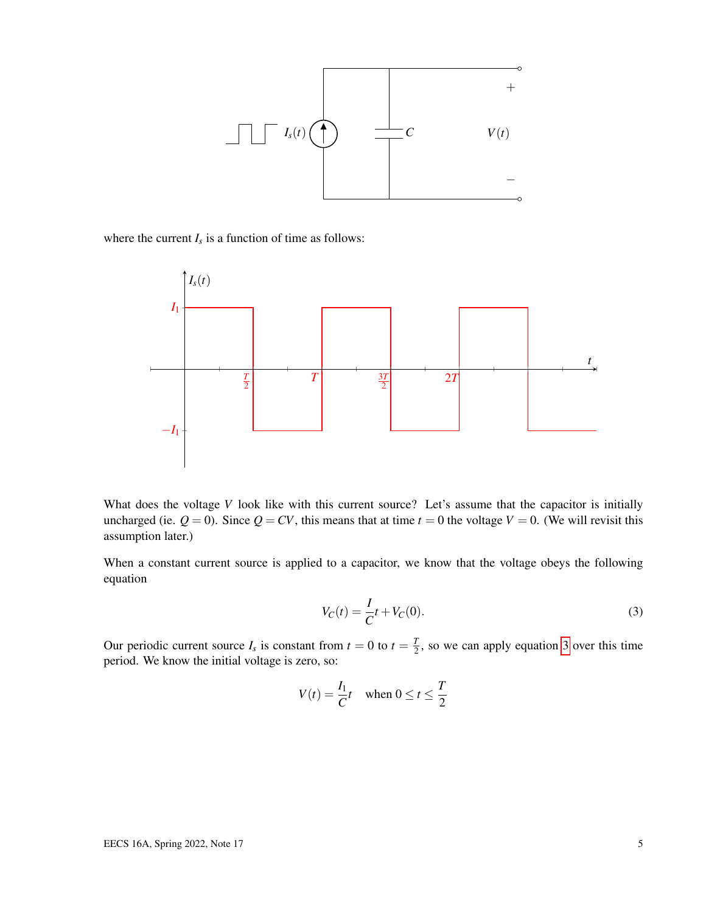

where the current  $I_s$  is a function of time as follows:



What does the voltage *V* look like with this current source? Let's assume that the capacitor is initially uncharged (ie.  $Q = 0$ ). Since  $Q = CV$ , this means that at time  $t = 0$  the voltage  $V = 0$ . (We will revisit this assumption later.)

When a constant current source is applied to a capacitor, we know that the voltage obeys the following equation

<span id="page-4-0"></span>
$$
V_C(t) = \frac{I}{C}t + V_C(0).
$$
 (3)

Our periodic current source  $I_s$  is constant from  $t = 0$  to  $t = \frac{T}{2}$  $\frac{1}{2}$ , so we can apply equation [3](#page-4-0) over this time period. We know the initial voltage is zero, so:

$$
V(t) = \frac{I_1}{C}t \quad \text{when } 0 \le t \le \frac{T}{2}
$$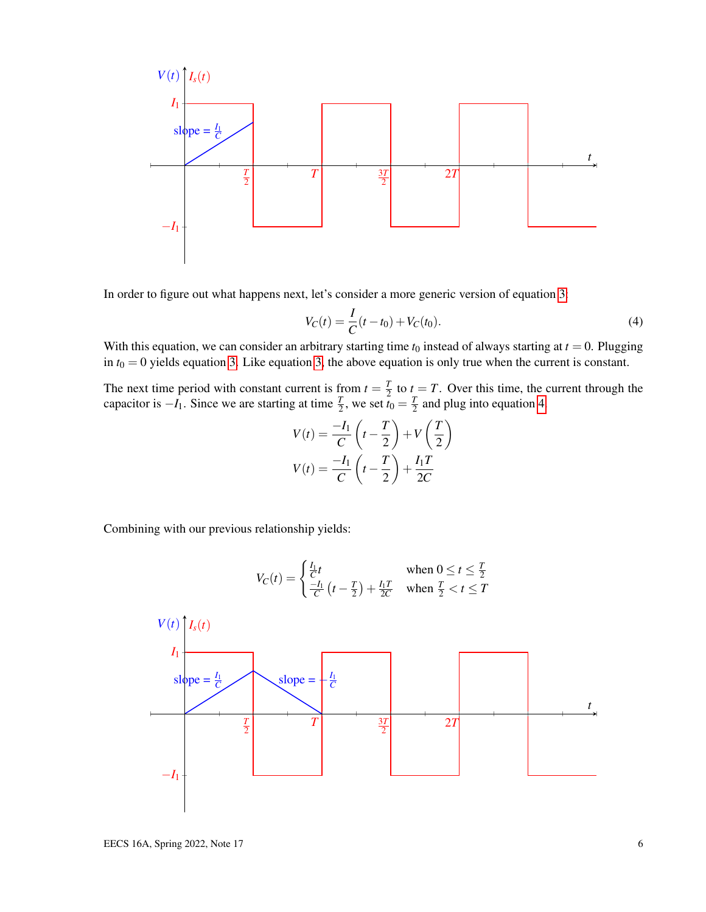

In order to figure out what happens next, let's consider a more generic version of equation [3:](#page-4-0)

<span id="page-5-0"></span>
$$
V_C(t) = \frac{I}{C}(t - t_0) + V_C(t_0).
$$
\n(4)

With this equation, we can consider an arbitrary starting time  $t_0$  instead of always starting at  $t = 0$ . Plugging in  $t_0 = 0$  yields equation [3.](#page-4-0) Like equation [3,](#page-4-0) the above equation is only true when the current is constant.

The next time period with constant current is from  $t = \frac{T}{2}$  $\frac{T}{2}$  to  $t = T$ . Over this time, the current through the capacitor is  $-I_1$ . Since we are starting at time  $\frac{T}{2}$ , we set  $t_0 = \frac{T}{2}$  $\frac{I}{2}$  and plug into equation [4.](#page-5-0)

$$
V(t) = \frac{-I_1}{C} \left( t - \frac{T}{2} \right) + V \left( \frac{T}{2} \right)
$$

$$
V(t) = \frac{-I_1}{C} \left( t - \frac{T}{2} \right) + \frac{I_1 T}{2C}
$$

Combining with our previous relationship yields:

$$
V_C(t) = \begin{cases} \frac{I_1}{C}t & \text{when } 0 \le t \le \frac{T}{2} \\ \frac{-I_1}{C}(t - \frac{T}{2}) + \frac{I_1T}{2C} & \text{when } \frac{T}{2} < t \le T \end{cases}
$$
  
\n
$$
V(t) \begin{bmatrix} I_s(t) & \text{slope} = \frac{I_1}{C} \\ \frac{T}{2} & \text{slope} = \frac{I_1}{C} \end{bmatrix}
$$
  
\n
$$
-I_1 + \begin{cases} \frac{T}{2} & \text{if } \frac{3T}{2} \\ \frac{T}{2} & \text{if } \frac{3T}{2} \end{cases}
$$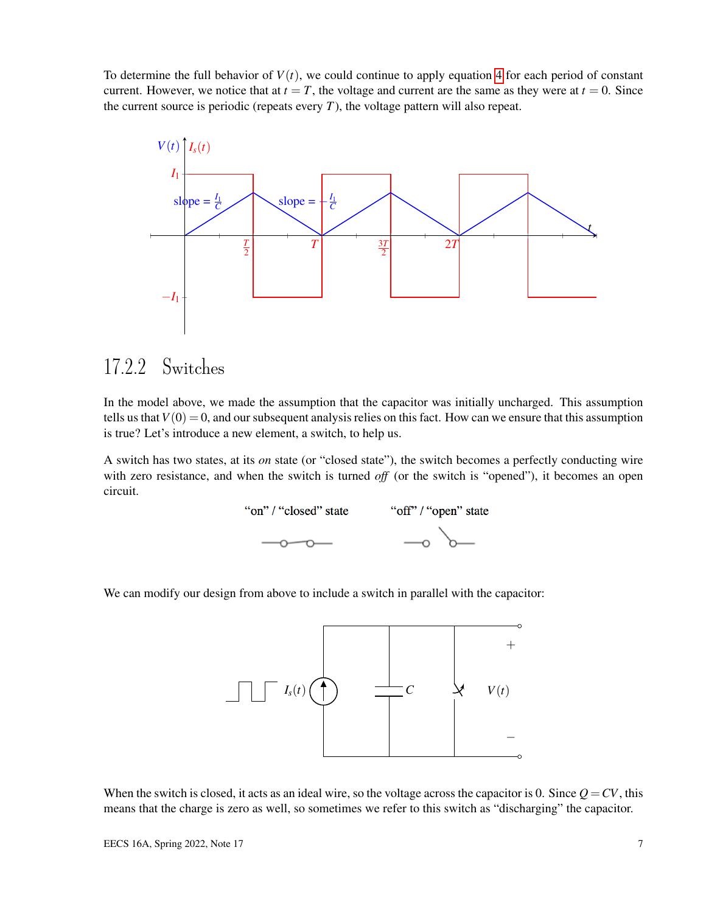To determine the full behavior of  $V(t)$ , we could continue to apply equation [4](#page-5-0) for each period of constant current. However, we notice that at  $t = T$ , the voltage and current are the same as they were at  $t = 0$ . Since the current source is periodic (repeats every  $T$ ), the voltage pattern will also repeat.



## 17.2.2 Switches

In the model above, we made the assumption that the capacitor was initially uncharged. This assumption tells us that  $V(0) = 0$ , and our subsequent analysis relies on this fact. How can we ensure that this assumption is true? Let's introduce a new element, a switch, to help us.

A switch has two states, at its *on* state (or "closed state"), the switch becomes a perfectly conducting wire with zero resistance, and when the switch is turned *off* (or the switch is "opened"), it becomes an open circuit.



We can modify our design from above to include a switch in parallel with the capacitor:



When the switch is closed, it acts as an ideal wire, so the voltage across the capacitor is 0. Since  $Q = CV$ , this means that the charge is zero as well, so sometimes we refer to this switch as "discharging" the capacitor.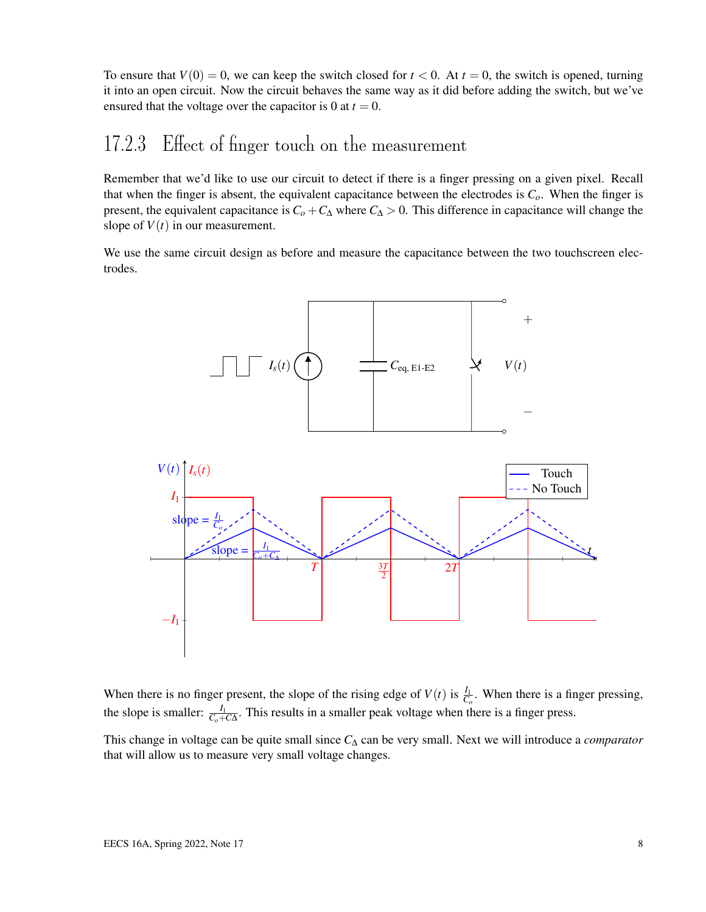To ensure that  $V(0) = 0$ , we can keep the switch closed for  $t < 0$ . At  $t = 0$ , the switch is opened, turning it into an open circuit. Now the circuit behaves the same way as it did before adding the switch, but we've ensured that the voltage over the capacitor is 0 at  $t = 0$ .

## 17.2.3 Effect of finger touch on the measurement

Remember that we'd like to use our circuit to detect if there is a finger pressing on a given pixel. Recall that when the finger is absent, the equivalent capacitance between the electrodes is *Co*. When the finger is present, the equivalent capacitance is  $C_0 + C_\Delta$  where  $C_\Delta > 0$ . This difference in capacitance will change the slope of  $V(t)$  in our measurement.

We use the same circuit design as before and measure the capacitance between the two touchscreen electrodes.



When there is no finger present, the slope of the rising edge of  $V(t)$  is  $\frac{I_1}{C_o}$ . When there is a finger pressing, the slope is smaller:  $\frac{I_1}{C_o+C\Delta}$ . This results in a smaller peak voltage when there is a finger press.

This change in voltage can be quite small since *C*<sup>∆</sup> can be very small. Next we will introduce a *comparator* that will allow us to measure very small voltage changes.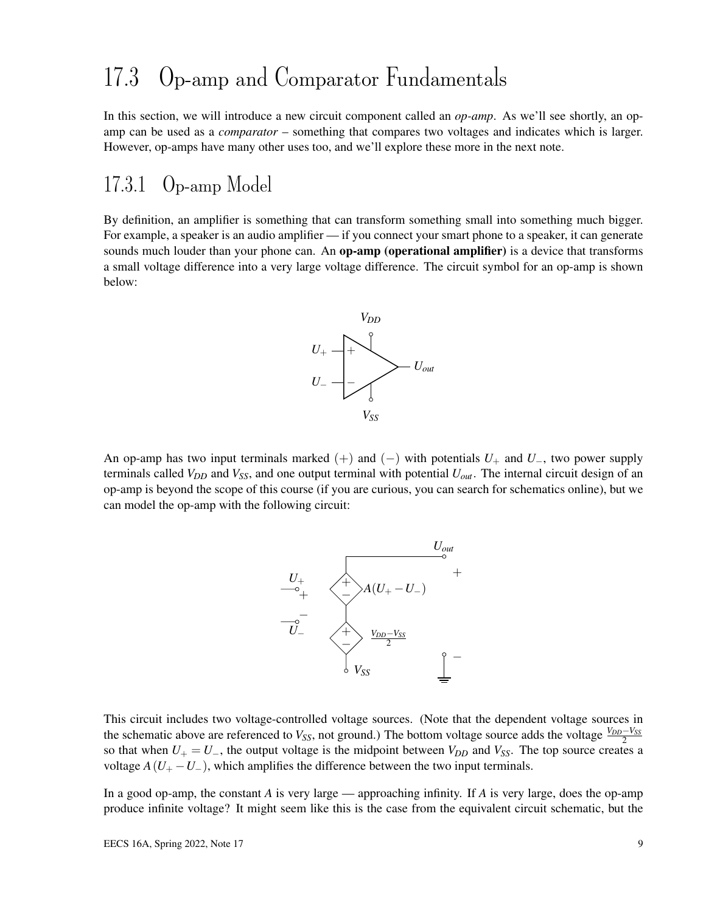## 17.3 Op-amp and Comparator Fundamentals

In this section, we will introduce a new circuit component called an *op-amp*. As we'll see shortly, an opamp can be used as a *comparator* – something that compares two voltages and indicates which is larger. However, op-amps have many other uses too, and we'll explore these more in the next note.

### 17.3.1 Op-amp Model

By definition, an amplifier is something that can transform something small into something much bigger. For example, a speaker is an audio amplifier — if you connect your smart phone to a speaker, it can generate sounds much louder than your phone can. An **op-amp (operational amplifier)** is a device that transforms a small voltage difference into a very large voltage difference. The circuit symbol for an op-amp is shown below:



An op-amp has two input terminals marked  $(+)$  and  $(-)$  with potentials  $U_+$  and  $U_-$ , two power supply terminals called  $V_{DD}$  and  $V_{SS}$ , and one output terminal with potential  $U_{out}$ . The internal circuit design of an op-amp is beyond the scope of this course (if you are curious, you can search for schematics online), but we can model the op-amp with the following circuit:



This circuit includes two voltage-controlled voltage sources. (Note that the dependent voltage sources in the schematic above are referenced to *V*<sub>*SS*</sub>, not ground.) The bottom voltage source adds the voltage  $\frac{V_{DD} - V_{SS}}{2}$ so that when  $U_+ = U_-$ , the output voltage is the midpoint between  $V_{DD}$  and  $V_{SS}$ . The top source creates a voltage  $A(U_{+} - U_{-})$ , which amplifies the difference between the two input terminals.

In a good op-amp, the constant *A* is very large — approaching infinity. If *A* is very large, does the op-amp produce infinite voltage? It might seem like this is the case from the equivalent circuit schematic, but the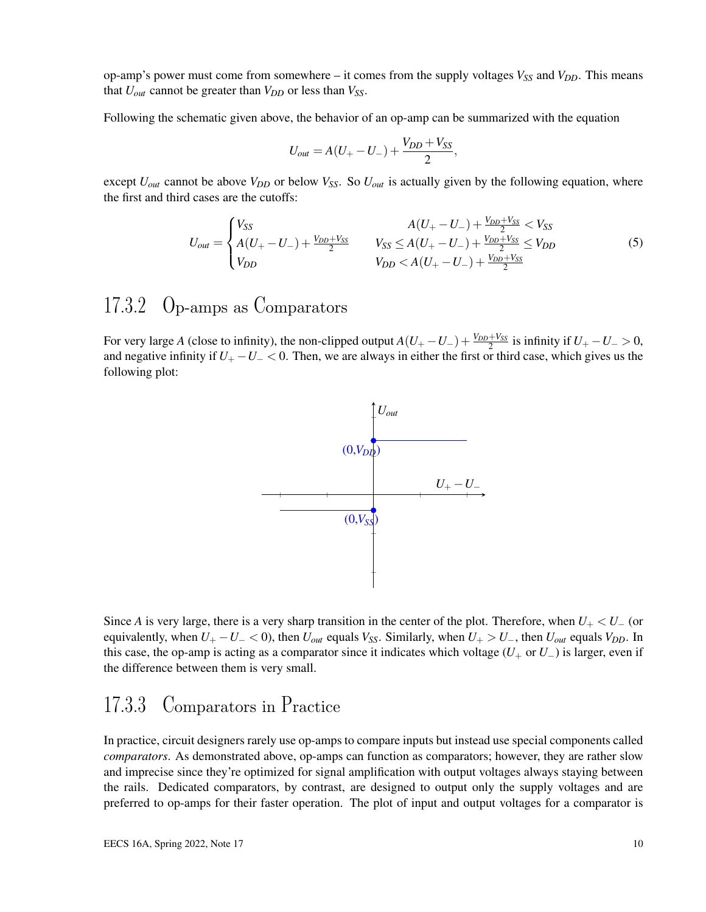op-amp's power must come from somewhere – it comes from the supply voltages  $V_{SS}$  and  $V_{DD}$ . This means that  $U_{out}$  cannot be greater than  $V_{DD}$  or less than  $V_{SS}$ .

Following the schematic given above, the behavior of an op-amp can be summarized with the equation

$$
U_{out} = A(U_{+} - U_{-}) + \frac{V_{DD} + V_{SS}}{2},
$$

except  $U_{out}$  cannot be above  $V_{DD}$  or below  $V_{SS}$ . So  $U_{out}$  is actually given by the following equation, where the first and third cases are the cutoffs:

$$
U_{out} = \begin{cases} V_{SS} & A(U_{+} - U_{-}) + \frac{V_{DD} + V_{SS}}{2} < V_{SS} \\ A(U_{+} - U_{-}) + \frac{V_{DD} + V_{SS}}{2} & V_{SS} \le A(U_{+} - U_{-}) + \frac{V_{DD} + V_{SS}}{2} \le V_{DD} \\ V_{DD} & V_{DD} < A(U_{+} - U_{-}) + \frac{V_{DD} + V_{SS}}{2} \end{cases} \tag{5}
$$

### 17.3.2 Op-amps as Comparators

For very large *A* (close to infinity), the non-clipped output  $A(U_{+} - U_{-}) + \frac{V_{DD} + V_{SS}}{2}$  is infinity if  $U_{+} - U_{-} > 0$ , and negative infinity if  $U_+ - U_- < 0$ . Then, we are always in either the first or third case, which gives us the following plot:



Since *A* is very large, there is a very sharp transition in the center of the plot. Therefore, when  $U_+ < U_-\$  (or equivalently, when  $U_+ - U_- < 0$ , then  $U_{out}$  equals  $V_{SS}$ . Similarly, when  $U_+ > U_-$ , then  $U_{out}$  equals  $V_{DD}$ . In this case, the op-amp is acting as a comparator since it indicates which voltage  $(U_{+}$  or  $U_{-})$  is larger, even if the difference between them is very small.

#### 17.3.3 Comparators in Practice

In practice, circuit designers rarely use op-amps to compare inputs but instead use special components called *comparators*. As demonstrated above, op-amps can function as comparators; however, they are rather slow and imprecise since they're optimized for signal amplification with output voltages always staying between the rails. Dedicated comparators, by contrast, are designed to output only the supply voltages and are preferred to op-amps for their faster operation. The plot of input and output voltages for a comparator is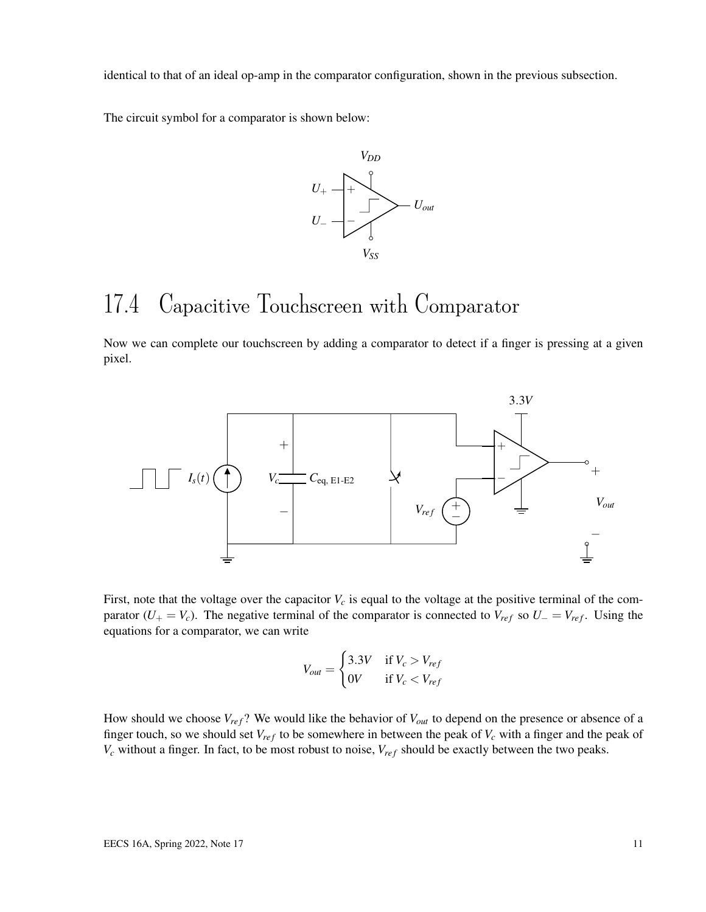identical to that of an ideal op-amp in the comparator configuration, shown in the previous subsection.

The circuit symbol for a comparator is shown below:



## 17.4 Capacitive Touchscreen with Comparator

Now we can complete our touchscreen by adding a comparator to detect if a finger is pressing at a given pixel.



First, note that the voltage over the capacitor  $V_c$  is equal to the voltage at the positive terminal of the comparator ( $U_{+} = V_c$ ). The negative terminal of the comparator is connected to  $V_{ref}$  so  $U_{-} = V_{ref}$ . Using the equations for a comparator, we can write

$$
V_{out} = \begin{cases} 3.3V & \text{if } V_c > V_{ref} \\ 0V & \text{if } V_c < V_{ref} \end{cases}
$$

How should we choose  $V_{ref}$ ? We would like the behavior of  $V_{out}$  to depend on the presence or absence of a finger touch, so we should set  $V_{ref}$  to be somewhere in between the peak of  $V_c$  with a finger and the peak of  $V_c$  without a finger. In fact, to be most robust to noise,  $V_{ref}$  should be exactly between the two peaks.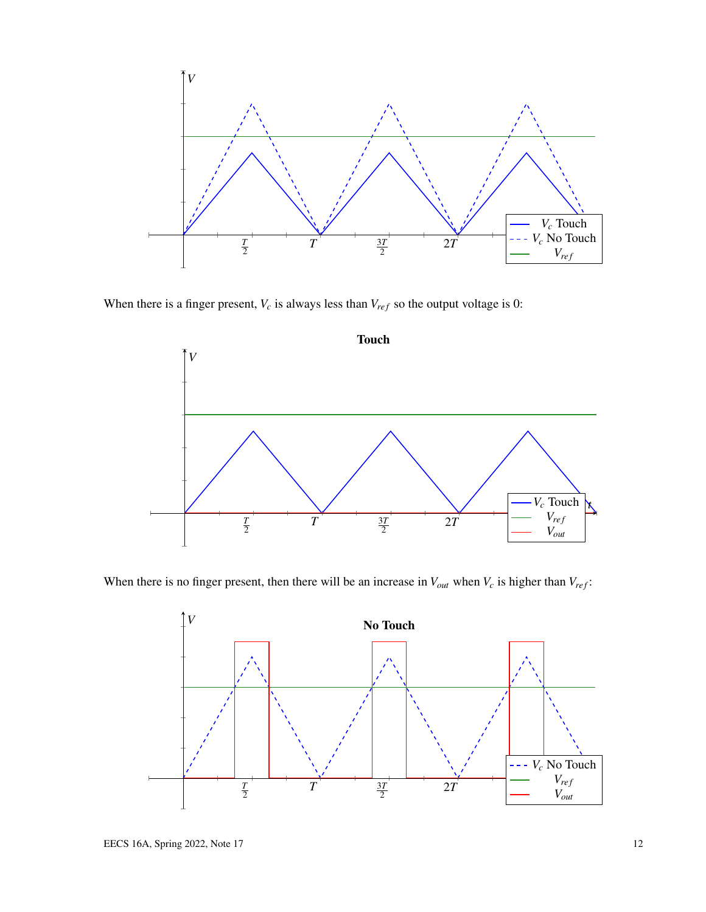

When there is a finger present,  $V_c$  is always less than  $V_{ref}$  so the output voltage is 0:



When there is no finger present, then there will be an increase in  $V_{out}$  when  $V_c$  is higher than  $V_{ref}$ :